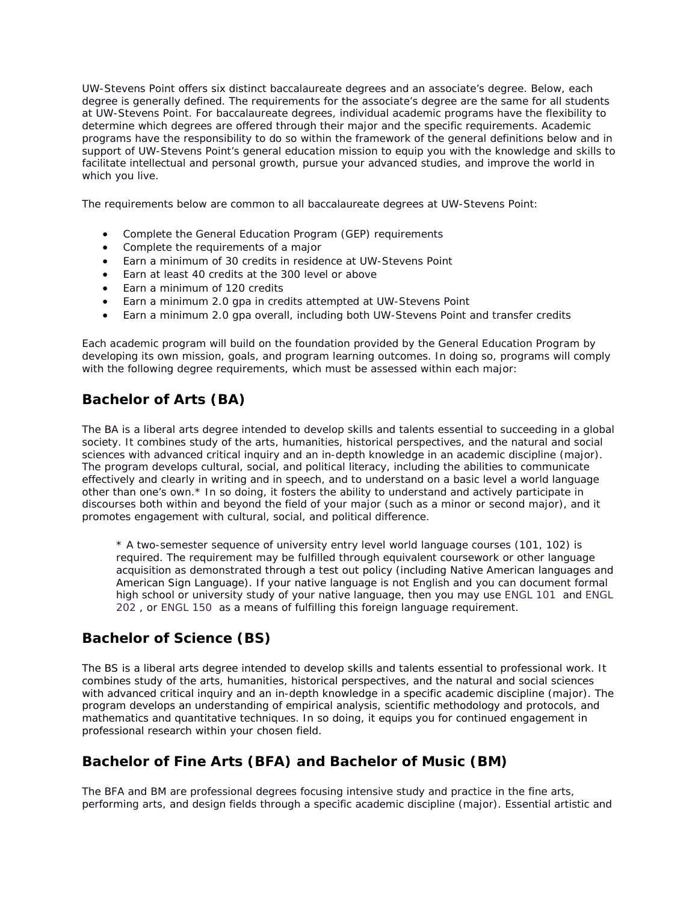UW-Stevens Point offers six distinct baccalaureate degrees and an associate's degree. Below, each degree is generally defined. The requirements for the associate's degree are the same for all students at UW-Stevens Point. For baccalaureate degrees, individual academic programs have the flexibility to determine which degrees are offered through their major and the specific requirements. Academic programs have the responsibility to do so within the framework of the general definitions below and in support of UW-Stevens Point's general education mission to equip you with the knowledge and skills to facilitate intellectual and personal growth, pursue your advanced studies, and improve the world in which you live.

The requirements below are common to all baccalaureate degrees at UW-Stevens Point:

- Complete the General Education Program (GEP) requirements
- Complete the requirements of a major
- Earn a minimum of 30 credits in residence at UW-Stevens Point
- Earn at least 40 credits at the 300 level or above
- Earn a minimum of 120 credits
- Earn a minimum 2.0 gpa in credits attempted at UW-Stevens Point
- Earn a minimum 2.0 gpa overall, including both UW-Stevens Point and transfer credits

Each academic program will build on the foundation provided by the General Education Program by developing its own mission, goals, and program learning outcomes. In doing so, programs will comply with the following degree requirements, which must be assessed within each major:

### **Bachelor of Arts (BA)**

The BA is a liberal arts degree intended to develop skills and talents essential to succeeding in a global society. It combines study of the arts, humanities, historical perspectives, and the natural and social sciences with advanced critical inquiry and an in-depth knowledge in an academic discipline (major). The program develops cultural, social, and political literacy, including the abilities to communicate effectively and clearly in writing and in speech, and to understand on a basic level a world language other than one's own.\* In so doing, it fosters the ability to understand and actively participate in discourses both within and beyond the field of your major (such as a minor or second major), and it promotes engagement with cultural, social, and political difference.

\* A two-semester sequence of university entry level world language courses (101, 102) is required. The requirement may be fulfilled through equivalent coursework or other language acquisition as demonstrated through a test out policy (including Native American languages and American Sign Language). If your native language is not English and you can document formal high school or university study of your native language, then you may use [ENGL 101](https://catalog.uwsp.edu/content.php?catoid=5&navoid=207#tt8149) and [ENGL](https://catalog.uwsp.edu/content.php?catoid=5&navoid=207#tt4704)  [202](https://catalog.uwsp.edu/content.php?catoid=5&navoid=207#tt4704) , or [ENGL 150](https://catalog.uwsp.edu/content.php?catoid=5&navoid=207#tt6654) as a means of fulfilling this foreign language requirement.

### **Bachelor of Science (BS)**

The BS is a liberal arts degree intended to develop skills and talents essential to professional work. It combines study of the arts, humanities, historical perspectives, and the natural and social sciences with advanced critical inquiry and an in-depth knowledge in a specific academic discipline (major). The program develops an understanding of empirical analysis, scientific methodology and protocols, and mathematics and quantitative techniques. In so doing, it equips you for continued engagement in professional research within your chosen field.

### **Bachelor of Fine Arts (BFA) and Bachelor of Music (BM)**

The BFA and BM are professional degrees focusing intensive study and practice in the fine arts, performing arts, and design fields through a specific academic discipline (major). Essential artistic and